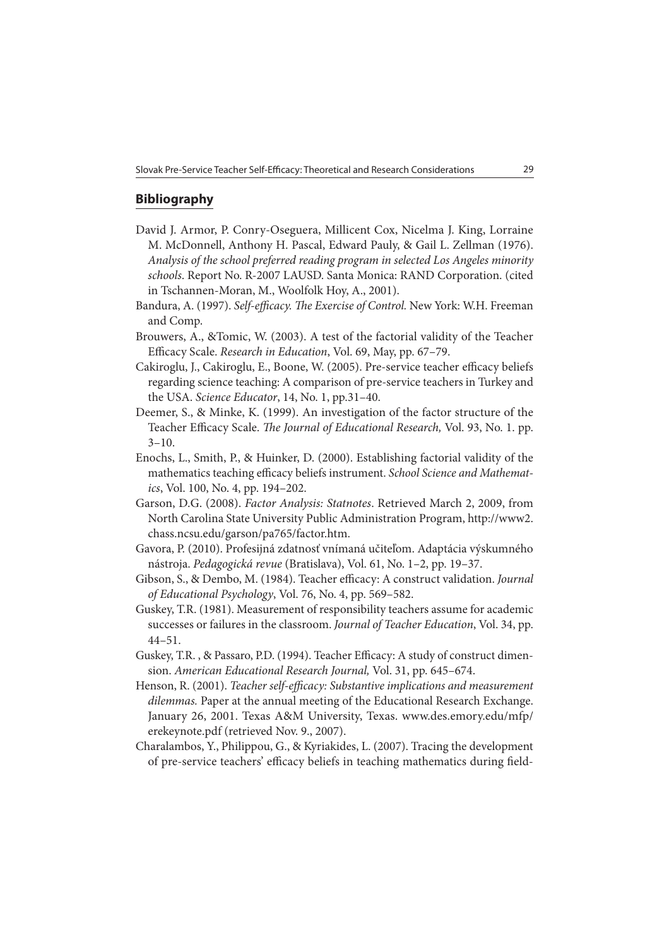## **Bibliography**

- David J. Armor, P. Conry-Oseguera, Millicent Cox, Nicelma J. King, Lorraine M. McDonnell, Anthony H. Pascal, Edward Pauly, & Gail L. Zellman (1976). Analysis of the school preferred reading program in selected Los Angeles minority schools. Report No. R-2007 LAUSD. Santa Monica: RAND Corporation. (cited in Tschannen-Moran, M., Woolfolk Hoy, A., 2001).
- Bandura, A. (1997). Self-efficacy. The Exercise of Control. New York: W.H. Freeman and Comp.
- Brouwers, A., &Tomic, W. (2003). A test of the factorial validity of the Teacher Efficacy Scale. Research in Education, Vol. 69, May, pp. 67-79.
- Cakiroglu, J., Cakiroglu, E., Boone, W. (2005). Pre-service teacher efficacy beliefs regarding science teaching: A comparison of pre-service teachers in Turkey and the USA. Science Educator, 14, No. 1, pp.31–40.
- Deemer, S., & Minke, K. (1999). An investigation of the factor structure of the Teacher Efficacy Scale. The Journal of Educational Research, Vol. 93, No. 1. pp.  $3 - 10$ .
- Enochs, L., Smith, P., & Huinker, D. (2000). Establishing factorial validity of the mathematics teaching efficacy beliefs instrument. School Science and Mathematics, Vol. 100, No. 4, pp. 194–202.
- Garson, D.G. (2008). Factor Analysis: Statnotes. Retrieved March 2, 2009, from North Carolina State University Public Administration Program, http://www2. chass.ncsu.edu/garson/pa765/factor.htm.
- Gavora, P. (2010). Profesijná zdatnosť vnímaná učiteľom. Adaptácia výskumného nástroja. Pedagogická revue (Bratislava), Vol. 61, No. 1–2, pp. 19–37.
- Gibson, S., & Dembo, M. (1984). Teacher efficacy: A construct validation. Journal of Educational Psychology, Vol. 76, No. 4, pp. 569–582.
- Guskey, T.R. (1981). Measurement of responsibility teachers assume for academic successes or failures in the classroom. Journal of Teacher Education, Vol. 34, pp. 44–51.
- Guskey, T.R., & Passaro, P.D. (1994). Teacher Efficacy: A study of construct dimension. American Educational Research Journal, Vol. 31, pp. 645–674.
- Henson, R. (2001). Teacher self-efficacy: Substantive implications and measurement dilemmas. Paper at the annual meeting of the Educational Research Exchange. January 26, 2001. Texas A&M University, Texas. www.des.emory.edu/mfp/ erekeynote.pdf (retrieved Nov. 9., 2007).
- Charalambos, Y., Philippou, G., & Kyriakides, L. (2007). Tracing the development of pre-service teachers' efficacy beliefs in teaching mathematics during field-